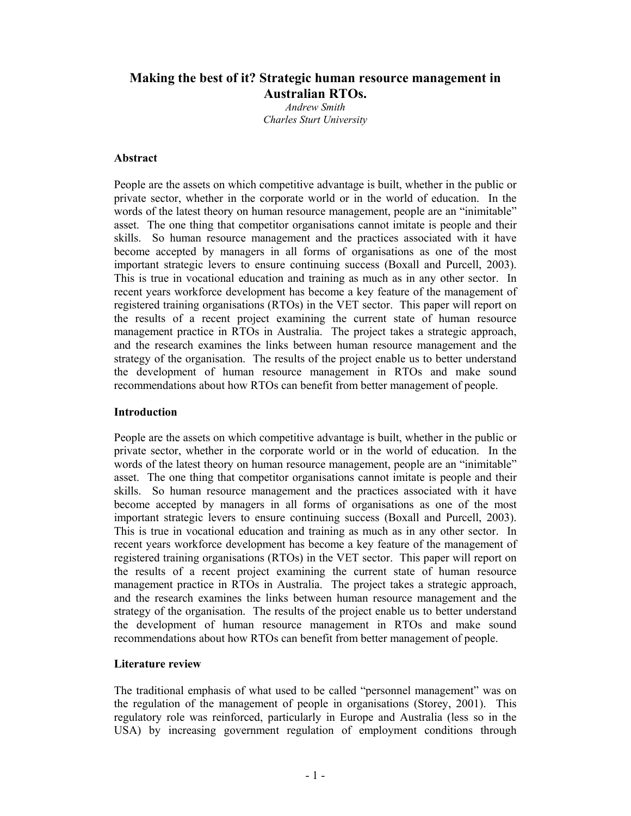# **Making the best of it? Strategic human resource management in Australian RTOs.**

*Andrew Smith Charles Sturt University* 

### **Abstract**

People are the assets on which competitive advantage is built, whether in the public or private sector, whether in the corporate world or in the world of education. In the words of the latest theory on human resource management, people are an "inimitable" asset. The one thing that competitor organisations cannot imitate is people and their skills. So human resource management and the practices associated with it have become accepted by managers in all forms of organisations as one of the most important strategic levers to ensure continuing success (Boxall and Purcell, 2003). This is true in vocational education and training as much as in any other sector. In recent years workforce development has become a key feature of the management of registered training organisations (RTOs) in the VET sector. This paper will report on the results of a recent project examining the current state of human resource management practice in RTOs in Australia. The project takes a strategic approach, and the research examines the links between human resource management and the strategy of the organisation. The results of the project enable us to better understand the development of human resource management in RTOs and make sound recommendations about how RTOs can benefit from better management of people.

### **Introduction**

People are the assets on which competitive advantage is built, whether in the public or private sector, whether in the corporate world or in the world of education. In the words of the latest theory on human resource management, people are an "inimitable" asset. The one thing that competitor organisations cannot imitate is people and their skills. So human resource management and the practices associated with it have become accepted by managers in all forms of organisations as one of the most important strategic levers to ensure continuing success (Boxall and Purcell, 2003). This is true in vocational education and training as much as in any other sector. In recent years workforce development has become a key feature of the management of registered training organisations (RTOs) in the VET sector. This paper will report on the results of a recent project examining the current state of human resource management practice in RTOs in Australia. The project takes a strategic approach, and the research examines the links between human resource management and the strategy of the organisation. The results of the project enable us to better understand the development of human resource management in RTOs and make sound recommendations about how RTOs can benefit from better management of people.

### **Literature review**

The traditional emphasis of what used to be called "personnel management" was on the regulation of the management of people in organisations (Storey, 2001). This regulatory role was reinforced, particularly in Europe and Australia (less so in the USA) by increasing government regulation of employment conditions through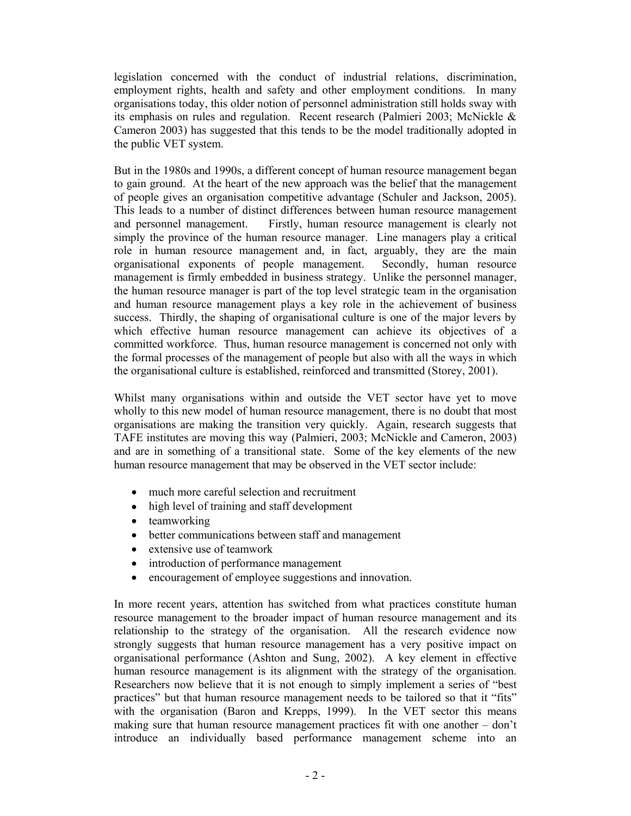legislation concerned with the conduct of industrial relations, discrimination, employment rights, health and safety and other employment conditions. In many organisations today, this older notion of personnel administration still holds sway with its emphasis on rules and regulation. Recent research (Palmieri 2003; McNickle & Cameron 2003) has suggested that this tends to be the model traditionally adopted in the public VET system.

But in the 1980s and 1990s, a different concept of human resource management began to gain ground. At the heart of the new approach was the belief that the management of people gives an organisation competitive advantage (Schuler and Jackson, 2005). This leads to a number of distinct differences between human resource management and personnel management. Firstly, human resource management is clearly not simply the province of the human resource manager. Line managers play a critical role in human resource management and, in fact, arguably, they are the main organisational exponents of people management. Secondly, human resource management is firmly embedded in business strategy. Unlike the personnel manager, the human resource manager is part of the top level strategic team in the organisation and human resource management plays a key role in the achievement of business success. Thirdly, the shaping of organisational culture is one of the major levers by which effective human resource management can achieve its objectives of a committed workforce. Thus, human resource management is concerned not only with the formal processes of the management of people but also with all the ways in which the organisational culture is established, reinforced and transmitted (Storey, 2001).

Whilst many organisations within and outside the VET sector have yet to move wholly to this new model of human resource management, there is no doubt that most organisations are making the transition very quickly. Again, research suggests that TAFE institutes are moving this way (Palmieri, 2003; McNickle and Cameron, 2003) and are in something of a transitional state. Some of the key elements of the new human resource management that may be observed in the VET sector include:

- much more careful selection and recruitment
- high level of training and staff development
- teamworking
- better communications between staff and management
- extensive use of teamwork
- introduction of performance management
- encouragement of employee suggestions and innovation.

In more recent years, attention has switched from what practices constitute human resource management to the broader impact of human resource management and its relationship to the strategy of the organisation. All the research evidence now strongly suggests that human resource management has a very positive impact on organisational performance (Ashton and Sung, 2002). A key element in effective human resource management is its alignment with the strategy of the organisation. Researchers now believe that it is not enough to simply implement a series of "best practices" but that human resource management needs to be tailored so that it "fits" with the organisation (Baron and Krepps, 1999). In the VET sector this means making sure that human resource management practices fit with one another – don't introduce an individually based performance management scheme into an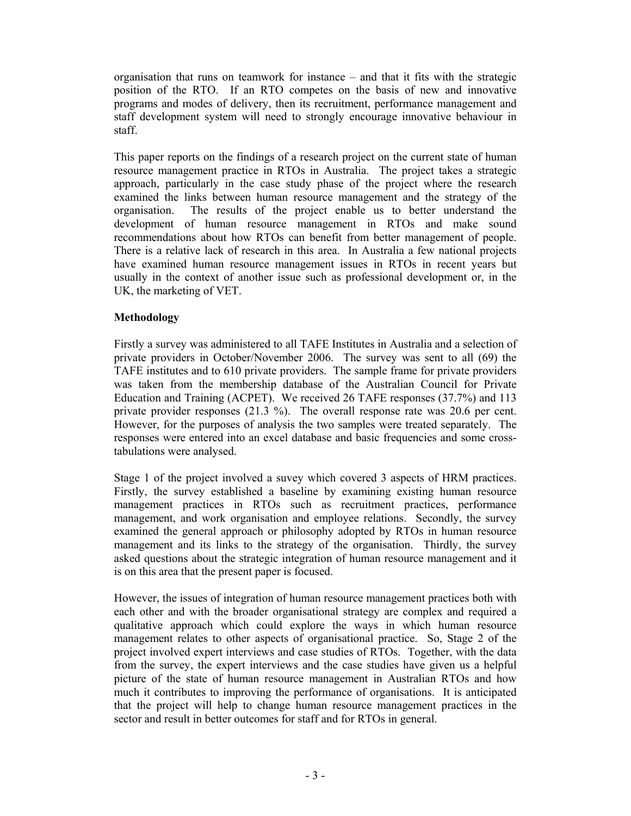organisation that runs on teamwork for instance – and that it fits with the strategic position of the RTO. If an RTO competes on the basis of new and innovative programs and modes of delivery, then its recruitment, performance management and staff development system will need to strongly encourage innovative behaviour in staff.

This paper reports on the findings of a research project on the current state of human resource management practice in RTOs in Australia. The project takes a strategic approach, particularly in the case study phase of the project where the research examined the links between human resource management and the strategy of the organisation. The results of the project enable us to better understand the development of human resource management in RTOs and make sound recommendations about how RTOs can benefit from better management of people. There is a relative lack of research in this area. In Australia a few national projects have examined human resource management issues in RTOs in recent years but usually in the context of another issue such as professional development or, in the UK, the marketing of VET.

## **Methodology**

Firstly a survey was administered to all TAFE Institutes in Australia and a selection of private providers in October/November 2006. The survey was sent to all (69) the TAFE institutes and to 610 private providers. The sample frame for private providers was taken from the membership database of the Australian Council for Private Education and Training (ACPET). We received 26 TAFE responses (37.7%) and 113 private provider responses (21.3 %). The overall response rate was 20.6 per cent. However, for the purposes of analysis the two samples were treated separately. The responses were entered into an excel database and basic frequencies and some crosstabulations were analysed.

Stage 1 of the project involved a suvey which covered 3 aspects of HRM practices. Firstly, the survey established a baseline by examining existing human resource management practices in RTOs such as recruitment practices, performance management, and work organisation and employee relations. Secondly, the survey examined the general approach or philosophy adopted by RTOs in human resource management and its links to the strategy of the organisation. Thirdly, the survey asked questions about the strategic integration of human resource management and it is on this area that the present paper is focused.

However, the issues of integration of human resource management practices both with each other and with the broader organisational strategy are complex and required a qualitative approach which could explore the ways in which human resource management relates to other aspects of organisational practice. So, Stage 2 of the project involved expert interviews and case studies of RTOs. Together, with the data from the survey, the expert interviews and the case studies have given us a helpful picture of the state of human resource management in Australian RTOs and how much it contributes to improving the performance of organisations. It is anticipated that the project will help to change human resource management practices in the sector and result in better outcomes for staff and for RTOs in general.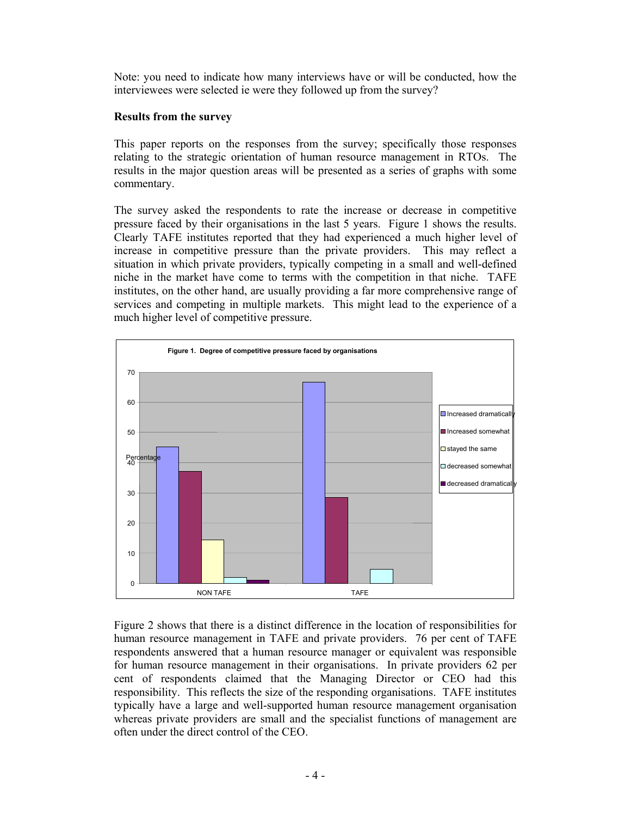Note: you need to indicate how many interviews have or will be conducted, how the interviewees were selected ie were they followed up from the survey?

## **Results from the survey**

This paper reports on the responses from the survey; specifically those responses relating to the strategic orientation of human resource management in RTOs. The results in the major question areas will be presented as a series of graphs with some commentary.

The survey asked the respondents to rate the increase or decrease in competitive pressure faced by their organisations in the last 5 years. Figure 1 shows the results. Clearly TAFE institutes reported that they had experienced a much higher level of increase in competitive pressure than the private providers. This may reflect a situation in which private providers, typically competing in a small and well-defined niche in the market have come to terms with the competition in that niche. TAFE institutes, on the other hand, are usually providing a far more comprehensive range of services and competing in multiple markets. This might lead to the experience of a much higher level of competitive pressure.



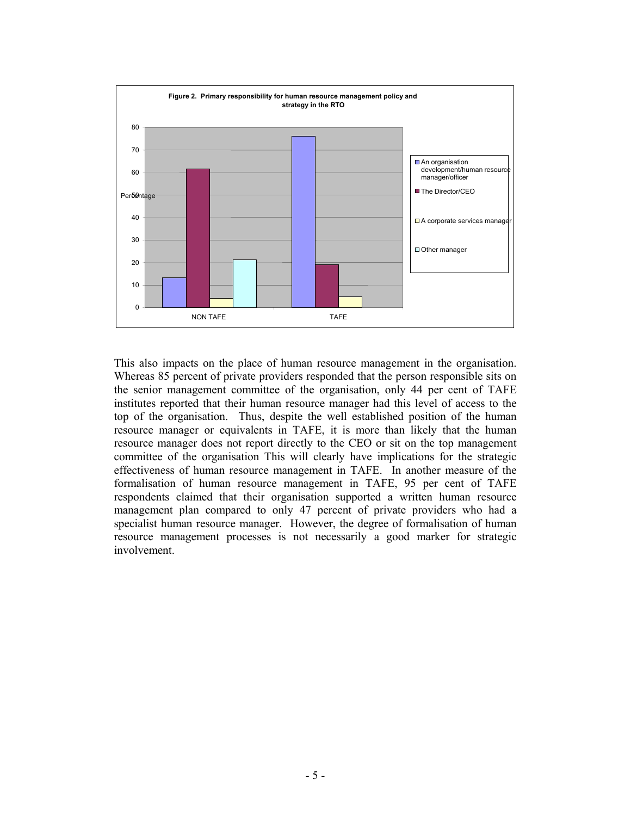

This also impacts on the place of human resource management in the organisation. Whereas 85 percent of private providers responded that the person responsible sits on the senior management committee of the organisation, only 44 per cent of TAFE institutes reported that their human resource manager had this level of access to the top of the organisation. Thus, despite the well established position of the human resource manager or equivalents in TAFE, it is more than likely that the human resource manager does not report directly to the CEO or sit on the top management committee of the organisation This will clearly have implications for the strategic effectiveness of human resource management in TAFE. In another measure of the formalisation of human resource management in TAFE, 95 per cent of TAFE respondents claimed that their organisation supported a written human resource management plan compared to only 47 percent of private providers who had a specialist human resource manager. However, the degree of formalisation of human resource management processes is not necessarily a good marker for strategic involvement.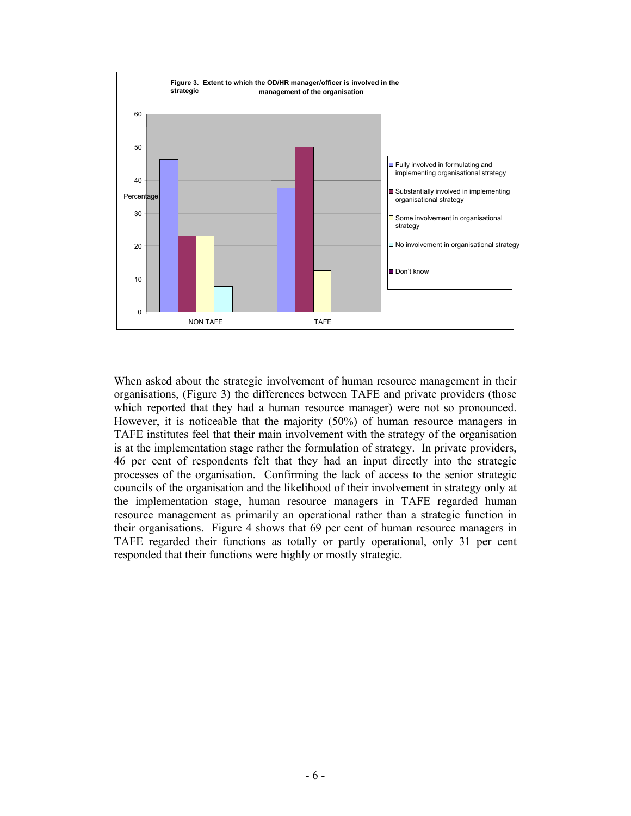

When asked about the strategic involvement of human resource management in their organisations, (Figure 3) the differences between TAFE and private providers (those which reported that they had a human resource manager) were not so pronounced. However, it is noticeable that the majority (50%) of human resource managers in TAFE institutes feel that their main involvement with the strategy of the organisation is at the implementation stage rather the formulation of strategy. In private providers, 46 per cent of respondents felt that they had an input directly into the strategic processes of the organisation. Confirming the lack of access to the senior strategic councils of the organisation and the likelihood of their involvement in strategy only at the implementation stage, human resource managers in TAFE regarded human resource management as primarily an operational rather than a strategic function in their organisations. Figure 4 shows that 69 per cent of human resource managers in TAFE regarded their functions as totally or partly operational, only 31 per cent responded that their functions were highly or mostly strategic.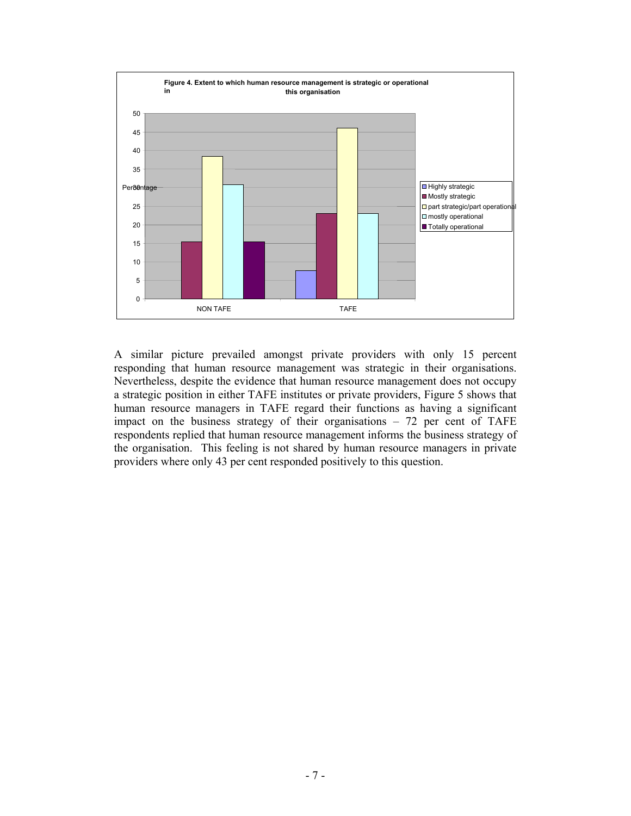

A similar picture prevailed amongst private providers with only 15 percent responding that human resource management was strategic in their organisations. Nevertheless, despite the evidence that human resource management does not occupy a strategic position in either TAFE institutes or private providers, Figure 5 shows that human resource managers in TAFE regard their functions as having a significant impact on the business strategy of their organisations – 72 per cent of TAFE respondents replied that human resource management informs the business strategy of the organisation. This feeling is not shared by human resource managers in private providers where only 43 per cent responded positively to this question.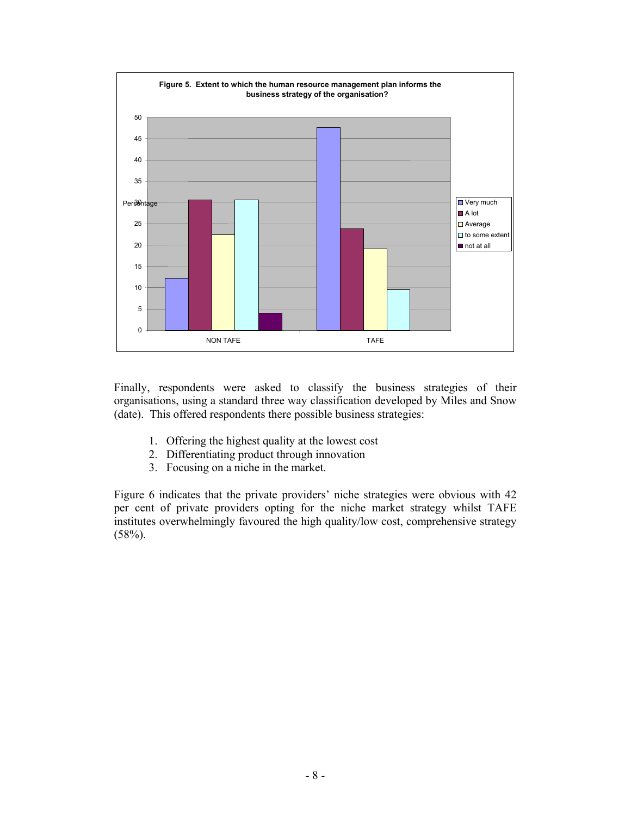

Finally, respondents were asked to classify the business strategies of their organisations, using a standard three way classification developed by Miles and Snow (date). This offered respondents there possible business strategies:

- 1. Offering the highest quality at the lowest cost
- 2. Differentiating product through innovation
- 3. Focusing on a niche in the market.

Figure 6 indicates that the private providers' niche strategies were obvious with 42 per cent of private providers opting for the niche market strategy whilst TAFE institutes overwhelmingly favoured the high quality/low cost, comprehensive strategy  $(58%)$ .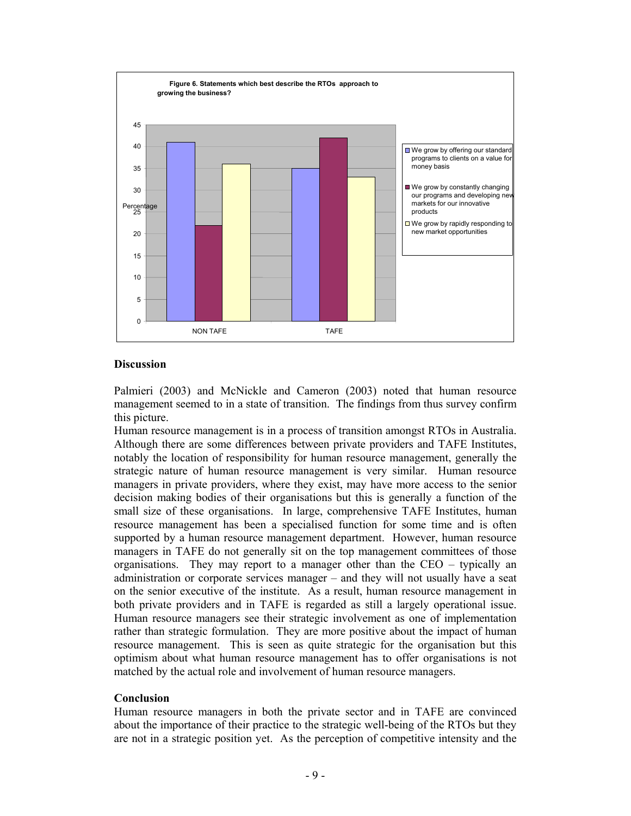

### **Discussion**

Palmieri (2003) and McNickle and Cameron (2003) noted that human resource management seemed to in a state of transition. The findings from thus survey confirm this picture.

Human resource management is in a process of transition amongst RTOs in Australia. Although there are some differences between private providers and TAFE Institutes, notably the location of responsibility for human resource management, generally the strategic nature of human resource management is very similar. Human resource managers in private providers, where they exist, may have more access to the senior decision making bodies of their organisations but this is generally a function of the small size of these organisations. In large, comprehensive TAFE Institutes, human resource management has been a specialised function for some time and is often supported by a human resource management department. However, human resource managers in TAFE do not generally sit on the top management committees of those organisations. They may report to a manager other than the CEO – typically an administration or corporate services manager – and they will not usually have a seat on the senior executive of the institute. As a result, human resource management in both private providers and in TAFE is regarded as still a largely operational issue. Human resource managers see their strategic involvement as one of implementation rather than strategic formulation. They are more positive about the impact of human resource management. This is seen as quite strategic for the organisation but this optimism about what human resource management has to offer organisations is not matched by the actual role and involvement of human resource managers.

### **Conclusion**

Human resource managers in both the private sector and in TAFE are convinced about the importance of their practice to the strategic well-being of the RTOs but they are not in a strategic position yet. As the perception of competitive intensity and the